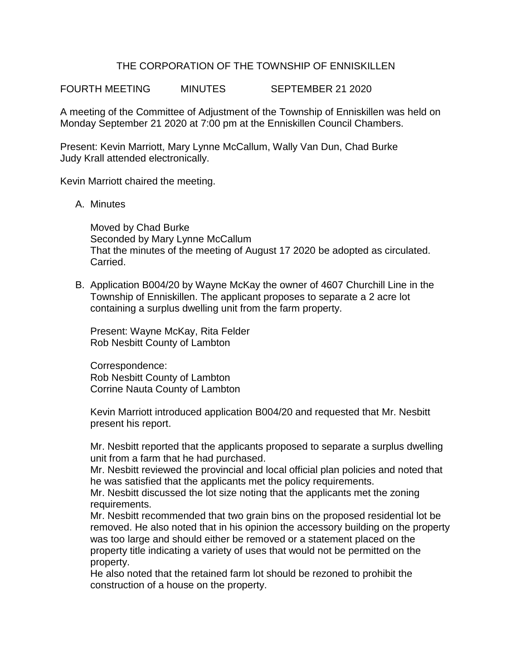## THE CORPORATION OF THE TOWNSHIP OF ENNISKILLEN

FOURTH MEETING MINUTES SEPTEMBER 21 2020

A meeting of the Committee of Adjustment of the Township of Enniskillen was held on Monday September 21 2020 at 7:00 pm at the Enniskillen Council Chambers.

Present: Kevin Marriott, Mary Lynne McCallum, Wally Van Dun, Chad Burke Judy Krall attended electronically.

Kevin Marriott chaired the meeting.

A. Minutes

Moved by Chad Burke Seconded by Mary Lynne McCallum That the minutes of the meeting of August 17 2020 be adopted as circulated. Carried.

B. Application B004/20 by Wayne McKay the owner of 4607 Churchill Line in the Township of Enniskillen. The applicant proposes to separate a 2 acre lot containing a surplus dwelling unit from the farm property.

Present: Wayne McKay, Rita Felder Rob Nesbitt County of Lambton

Correspondence: Rob Nesbitt County of Lambton Corrine Nauta County of Lambton

Kevin Marriott introduced application B004/20 and requested that Mr. Nesbitt present his report.

Mr. Nesbitt reported that the applicants proposed to separate a surplus dwelling unit from a farm that he had purchased.

Mr. Nesbitt reviewed the provincial and local official plan policies and noted that he was satisfied that the applicants met the policy requirements.

Mr. Nesbitt discussed the lot size noting that the applicants met the zoning requirements.

Mr. Nesbitt recommended that two grain bins on the proposed residential lot be removed. He also noted that in his opinion the accessory building on the property was too large and should either be removed or a statement placed on the property title indicating a variety of uses that would not be permitted on the property.

He also noted that the retained farm lot should be rezoned to prohibit the construction of a house on the property.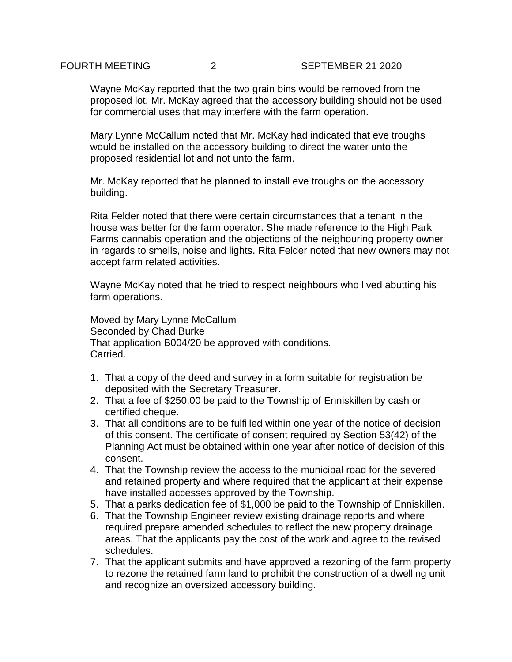Wayne McKay reported that the two grain bins would be removed from the proposed lot. Mr. McKay agreed that the accessory building should not be used for commercial uses that may interfere with the farm operation.

Mary Lynne McCallum noted that Mr. McKay had indicated that eve troughs would be installed on the accessory building to direct the water unto the proposed residential lot and not unto the farm.

Mr. McKay reported that he planned to install eve troughs on the accessory building.

Rita Felder noted that there were certain circumstances that a tenant in the house was better for the farm operator. She made reference to the High Park Farms cannabis operation and the objections of the neighouring property owner in regards to smells, noise and lights. Rita Felder noted that new owners may not accept farm related activities.

Wayne McKay noted that he tried to respect neighbours who lived abutting his farm operations.

Moved by Mary Lynne McCallum Seconded by Chad Burke That application B004/20 be approved with conditions. Carried.

- 1. That a copy of the deed and survey in a form suitable for registration be deposited with the Secretary Treasurer.
- 2. That a fee of \$250.00 be paid to the Township of Enniskillen by cash or certified cheque.
- 3. That all conditions are to be fulfilled within one year of the notice of decision of this consent. The certificate of consent required by Section 53(42) of the Planning Act must be obtained within one year after notice of decision of this consent.
- 4. That the Township review the access to the municipal road for the severed and retained property and where required that the applicant at their expense have installed accesses approved by the Township.
- 5. That a parks dedication fee of \$1,000 be paid to the Township of Enniskillen.
- 6. That the Township Engineer review existing drainage reports and where required prepare amended schedules to reflect the new property drainage areas. That the applicants pay the cost of the work and agree to the revised schedules.
- 7. That the applicant submits and have approved a rezoning of the farm property to rezone the retained farm land to prohibit the construction of a dwelling unit and recognize an oversized accessory building.